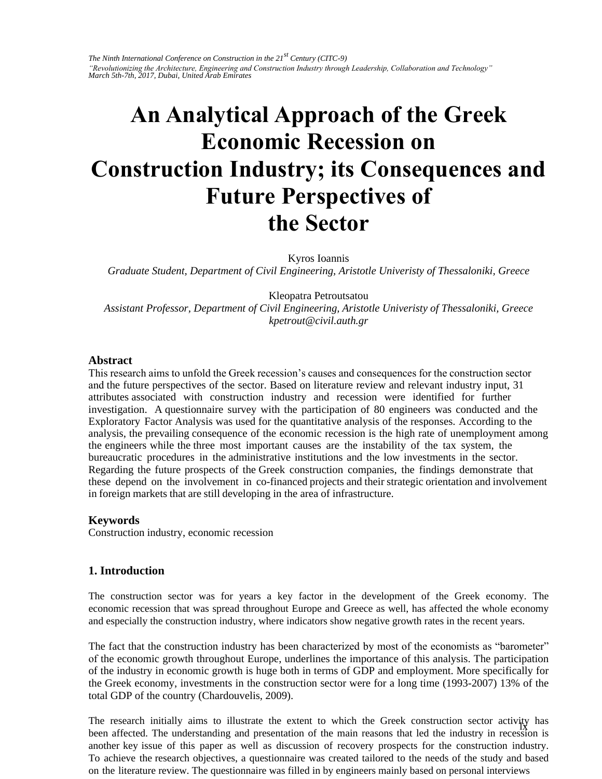*The Ninth International Conference on Construction in the 21st Century (CITC-9) "Revolutionizing the Architecture, Engineering and Construction Industry through Leadership, Collaboration and Technology" March 5th-7th, 2017, Dubai, United Arab Emirates* 

# **An Analytical Approach of the Greek Economic Recession on Construction Industry; its Consequences and Future Perspectives of the Sector**

Kyros Ioannis

*Graduate Student, Department of Civil Engineering, Aristotle Univeristy of Thessaloniki, Greece* 

Kleopatra Petroutsatou

*Assistant Professor, Department of Civil Engineering, Aristotle Univeristy of Thessaloniki, Greece kpetrout@civil.auth.gr* 

#### **Abstract**

This research aims to unfold the Greek recession's causes and consequences for the construction sector and the future perspectives of the sector. Based on literature review and relevant industry input, 31 attributes associated with construction industry and recession were identified for further investigation. A questionnaire survey with the participation of 80 engineers was conducted and the Exploratory Factor Analysis was used for the quantitative analysis of the responses. According to the analysis, the prevailing consequence of the economic recession is the high rate of unemployment among the engineers while the three most important causes are the instability of the tax system, the bureaucratic procedures in the administrative institutions and the low investments in the sector. Regarding the future prospects of the Greek construction companies, the findings demonstrate that these depend on the involvement in co-financed projects and their strategic orientation and involvement in foreign markets that are still developing in the area of infrastructure.

### **Keywords**

Construction industry, economic recession

### **1. Introduction**

The construction sector was for years a key factor in the development of the Greek economy. The economic recession that was spread throughout Europe and Greece as well, has affected the whole economy and especially the construction industry, where indicators show negative growth rates in the recent years.

The fact that the construction industry has been characterized by most of the economists as "barometer" of the economic growth throughout Europe, underlines the importance of this analysis. The participation of the industry in economic growth is huge both in terms of GDP and employment. More specifically for the Greek economy, investments in the construction sector were for a long time (1993-2007) 13% of the total GDP of the country (Chardouvelis, 2009).

The research initially aims to illustrate the extent to which the Greek construction sector activity has been affected. The understanding and presentation of the main reasons that led the industry in recession is another key issue of this paper as well as discussion of recovery prospects for the construction industry. To achieve the research objectives, a questionnaire was created tailored to the needs of the study and based on the literature review. The questionnaire was filled in by engineers mainly based on personal interviews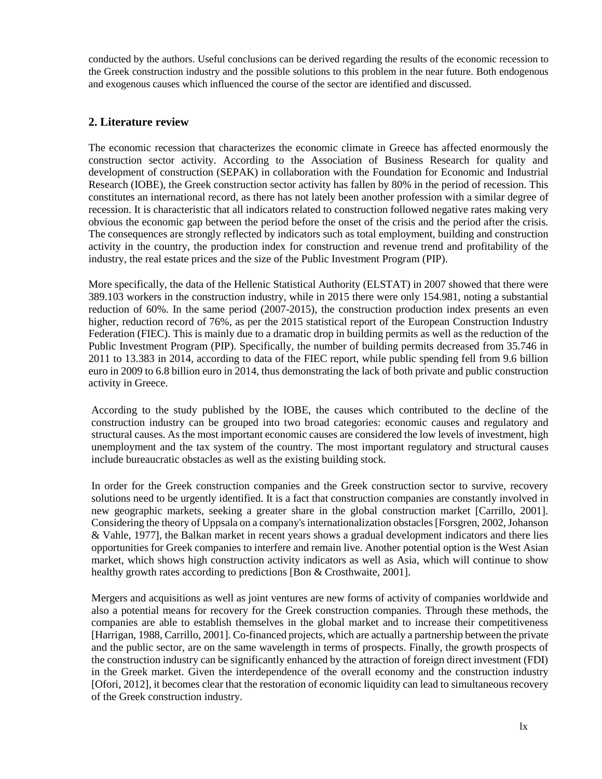conducted by the authors. Useful conclusions can be derived regarding the results of the economic recession to the Greek construction industry and the possible solutions to this problem in the near future. Both endogenous and exogenous causes which influenced the course of the sector are identified and discussed.

## **2. Literature review**

The economic recession that characterizes the economic climate in Greece has affected enormously the construction sector activity. According to the Association of Business Research for quality and development of construction (SEPAK) in collaboration with the Foundation for Economic and Industrial Research (IOBE), the Greek construction sector activity has fallen by 80% in the period of recession. This constitutes an international record, as there has not lately been another profession with a similar degree of recession. It is characteristic that all indicators related to construction followed negative rates making very obvious the economic gap between the period before the onset of the crisis and the period after the crisis. The consequences are strongly reflected by indicators such as total employment, building and construction activity in the country, the production index for construction and revenue trend and profitability of the industry, the real estate prices and the size of the Public Investment Program (PIP).

More specifically, the data of the Hellenic Statistical Authority (ELSTAT) in 2007 showed that there were 389.103 workers in the construction industry, while in 2015 there were only 154.981, noting a substantial reduction of 60%. In the same period (2007-2015), the construction production index presents an even higher, reduction record of 76%, as per the 2015 statistical report of the European Construction Industry Federation (FIEC). This is mainly due to a dramatic drop in building permits as well as the reduction of the Public Investment Program (PIP). Specifically, the number of building permits decreased from 35.746 in 2011 to 13.383 in 2014, according to data of the FIEC report, while public spending fell from 9.6 billion euro in 2009 to 6.8 billion euro in 2014, thus demonstrating the lack of both private and public construction activity in Greece.

According to the study published by the IOBE, the causes which contributed to the decline of the construction industry can be grouped into two broad categories: economic causes and regulatory and structural causes. As the most important economic causes are considered the low levels of investment, high unemployment and the tax system of the country. The most important regulatory and structural causes include bureaucratic obstacles as well as the existing building stock.

In order for the Greek construction companies and the Greek construction sector to survive, recovery solutions need to be urgently identified. It is a fact that construction companies are constantly involved in new geographic markets, seeking a greater share in the global construction market [Carrillo, 2001]. Considering the theory of Uppsala on a company's internationalization obstacles [Forsgren, 2002, Johanson & Vahle, 1977], the Balkan market in recent years shows a gradual development indicators and there lies opportunities for Greek companies to interfere and remain live. Another potential option is the West Asian market, which shows high construction activity indicators as well as Asia, which will continue to show healthy growth rates according to predictions [Bon & Crosthwaite, 2001].

Mergers and acquisitions as well as joint ventures are new forms of activity of companies worldwide and also a potential means for recovery for the Greek construction companies. Through these methods, the companies are able to establish themselves in the global market and to increase their competitiveness [Harrigan, 1988, Carrillo, 2001]. Co-financed projects, which are actually a partnership between the private and the public sector, are on the same wavelength in terms of prospects. Finally, the growth prospects of the construction industry can be significantly enhanced by the attraction of foreign direct investment (FDI) in the Greek market. Given the interdependence of the overall economy and the construction industry [Ofori, 2012], it becomes clear that the restoration of economic liquidity can lead to simultaneous recovery of the Greek construction industry.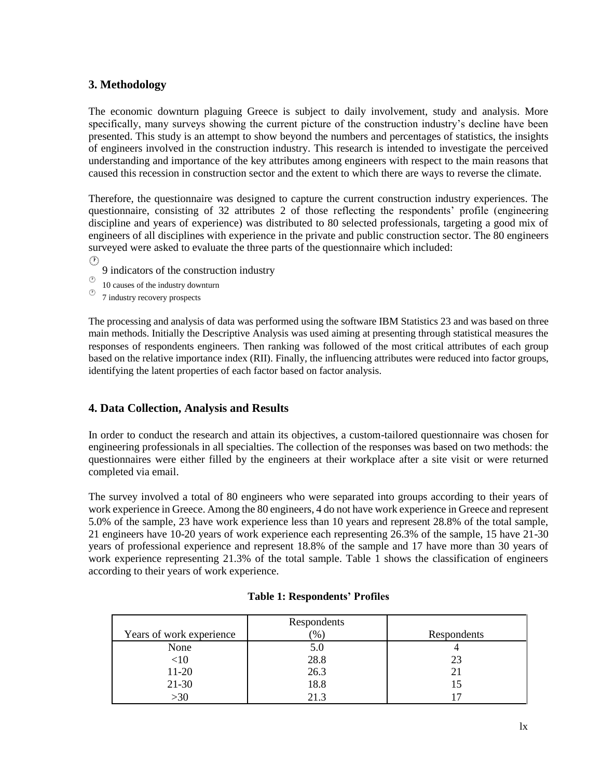## **3. Methodology**

The economic downturn plaguing Greece is subject to daily involvement, study and analysis. More specifically, many surveys showing the current picture of the construction industry's decline have been presented. This study is an attempt to show beyond the numbers and percentages of statistics, the insights of engineers involved in the construction industry. This research is intended to investigate the perceived understanding and importance of the key attributes among engineers with respect to the main reasons that caused this recession in construction sector and the extent to which there are ways to reverse the climate.

Therefore, the questionnaire was designed to capture the current construction industry experiences. The questionnaire, consisting of 32 attributes 2 of those reflecting the respondents' profile (engineering discipline and years of experience) was distributed to 80 selected professionals, targeting a good mix of engineers of all disciplines with experience in the private and public construction sector. The 80 engineers surveyed were asked to evaluate the three parts of the questionnaire which included:  $(\Gamma)$ 

- 9 indicators of the construction industry
- 10 causes of the industry downturn
- 7 industry recovery prospects

The processing and analysis of data was performed using the software IBM Statistics 23 and was based on three main methods. Initially the Descriptive Analysis was used aiming at presenting through statistical measures the responses of respondents engineers. Then ranking was followed of the most critical attributes of each group based on the relative importance index (RII). Finally, the influencing attributes were reduced into factor groups, identifying the latent properties of each factor based on factor analysis.

## **4. Data Collection, Analysis and Results**

In order to conduct the research and attain its objectives, a custom-tailored questionnaire was chosen for engineering professionals in all specialties. The collection of the responses was based on two methods: the questionnaires were either filled by the engineers at their workplace after a site visit or were returned completed via email.

The survey involved a total of 80 engineers who were separated into groups according to their years of work experience in Greece. Among the 80 engineers, 4 do not have work experience in Greece and represent 5.0% of the sample, 23 have work experience less than 10 years and represent 28.8% of the total sample, 21 engineers have 10-20 years of work experience each representing 26.3% of the sample, 15 have 21-30 years of professional experience and represent 18.8% of the sample and 17 have more than 30 years of work experience representing 21.3% of the total sample. Table 1 shows the classification of engineers according to their years of work experience.

|                          | Respondents   |             |
|--------------------------|---------------|-------------|
| Years of work experience | $\frac{9}{6}$ | Respondents |
| None                     | 5.0           |             |
| <10                      | 28.8          | 23          |
| 11-20                    | 26.3          | 21          |
| $21 - 30$                | 18.8          | 15          |
| >30                      | 213           |             |

### **Table 1: Respondents' Profiles**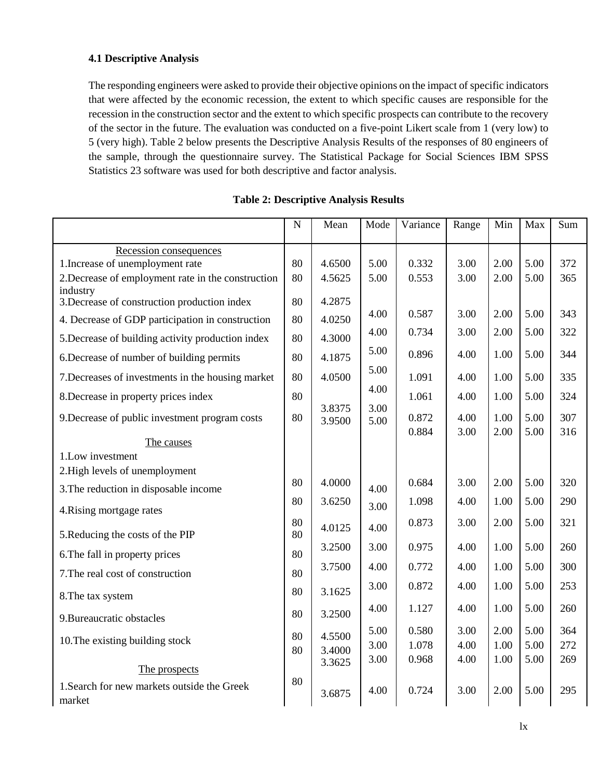## **4.1 Descriptive Analysis**

The responding engineers were asked to provide their objective opinions on the impact of specific indicators that were affected by the economic recession, the extent to which specific causes are responsible for the recession in the construction sector and the extent to which specific prospects can contribute to the recovery of the sector in the future. The evaluation was conducted on a five-point Likert scale from 1 (very low) to 5 (very high). Table 2 below presents the Descriptive Analysis Results of the responses of 80 engineers of the sample, through the questionnaire survey. The Statistical Package for Social Sciences IBM SPSS Statistics 23 software was used for both descriptive and factor analysis.

|                                                          | $\mathbf N$ | Mean   | Mode | Variance | Range | Min  | Max  | Sum |
|----------------------------------------------------------|-------------|--------|------|----------|-------|------|------|-----|
| Recession consequences                                   |             |        |      |          |       |      |      |     |
| 1. Increase of unemployment rate                         | 80          | 4.6500 | 5.00 | 0.332    | 3.00  | 2.00 | 5.00 | 372 |
| 2. Decrease of employment rate in the construction       | 80          | 4.5625 | 5.00 | 0.553    | 3.00  | 2.00 | 5.00 | 365 |
| industry<br>3. Decrease of construction production index | 80          | 4.2875 |      |          |       |      |      |     |
|                                                          |             |        | 4.00 | 0.587    | 3.00  | 2.00 | 5.00 | 343 |
| 4. Decrease of GDP participation in construction         | 80          | 4.0250 | 4.00 | 0.734    | 3.00  | 2.00 | 5.00 | 322 |
| 5. Decrease of building activity production index        | 80          | 4.3000 |      |          |       |      |      |     |
| 6. Decrease of number of building permits                | 80          | 4.1875 | 5.00 | 0.896    | 4.00  | 1.00 | 5.00 | 344 |
| 7. Decreases of investments in the housing market        | 80          | 4.0500 | 5.00 | 1.091    | 4.00  | 1.00 | 5.00 | 335 |
| 8. Decrease in property prices index                     | 80          |        | 4.00 | 1.061    | 4.00  | 1.00 | 5.00 | 324 |
| 9. Decrease of public investment program costs           | 80          | 3.8375 | 3.00 | 0.872    | 4.00  | 1.00 | 5.00 | 307 |
|                                                          |             | 3.9500 | 5.00 | 0.884    | 3.00  | 2.00 | 5.00 | 316 |
| The causes                                               |             |        |      |          |       |      |      |     |
| 1.Low investment                                         |             |        |      |          |       |      |      |     |
| 2. High levels of unemployment                           |             |        |      |          |       |      |      |     |
| 3. The reduction in disposable income                    | 80          | 4.0000 | 4.00 | 0.684    | 3.00  | 2.00 | 5.00 | 320 |
| 4. Rising mortgage rates                                 | 80          | 3.6250 | 3.00 | 1.098    | 4.00  | 1.00 | 5.00 | 290 |
|                                                          | 80          | 4.0125 | 4.00 | 0.873    | 3.00  | 2.00 | 5.00 | 321 |
| 5. Reducing the costs of the PIP                         | 80          |        |      |          |       |      |      |     |
| 6. The fall in property prices                           | 80          | 3.2500 | 3.00 | 0.975    | 4.00  | 1.00 | 5.00 | 260 |
| 7. The real cost of construction                         | 80          | 3.7500 | 4.00 | 0.772    | 4.00  | 1.00 | 5.00 | 300 |
|                                                          | 80          | 3.1625 | 3.00 | 0.872    | 4.00  | 1.00 | 5.00 | 253 |
| 8. The tax system                                        |             |        | 4.00 | 1.127    | 4.00  | 1.00 | 5.00 | 260 |
| 9. Bureaucratic obstacles                                | 80          | 3.2500 |      |          |       |      |      |     |
|                                                          | 80          | 4.5500 | 5.00 | 0.580    | 3.00  | 2.00 | 5.00 | 364 |
| 10. The existing building stock                          | 80          | 3.4000 | 3.00 | 1.078    | 4.00  | 1.00 | 5.00 | 272 |
| The prospects                                            |             | 3.3625 | 3.00 | 0.968    | 4.00  | 1.00 | 5.00 | 269 |
| 1. Search for new markets outside the Greek              | 80          |        |      |          |       |      |      |     |
| market                                                   |             | 3.6875 | 4.00 | 0.724    | 3.00  | 2.00 | 5.00 | 295 |

# **Table 2: Descriptive Analysis Results**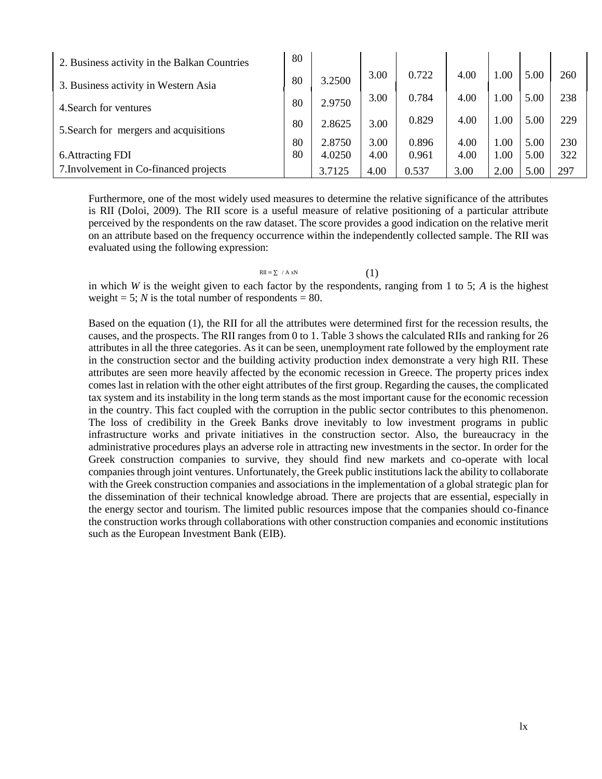| 2. Business activity in the Balkan Countries | 80       |        |      |       |      |        |      |     |
|----------------------------------------------|----------|--------|------|-------|------|--------|------|-----|
| 3. Business activity in Western Asia         | 80       | 3.2500 | 3.00 | 0.722 | 4.00 | .00    | 5.00 | 260 |
|                                              | 80       | 2.9750 | 3.00 | 0.784 | 4.00 | $00$ . | 5.00 | 238 |
| 4. Search for ventures                       |          |        |      | 0.829 | 4.00 | 1.00   | 5.00 | 229 |
| 5. Search for mergers and acquisitions       | 80       | 2.8625 | 3.00 |       |      |        |      |     |
|                                              | 80<br>80 | 2.8750 | 3.00 | 0.896 | 4.00 | 1.00   | 5.00 | 230 |
| 6. Attracting FDI                            |          | 4.0250 | 4.00 | 0.961 | 4.00 | 1.00   | 5.00 | 322 |
| 7. Involvement in Co-financed projects       |          | 3.7125 | 4.00 | 0.537 | 3.00 | 2.00   | 5.00 | 297 |

Furthermore, one of the most widely used measures to determine the relative significance of the attributes is RII (Doloi, 2009). The RII score is a useful measure of relative positioning of a particular attribute perceived by the respondents on the raw dataset. The score provides a good indication on the relative merit on an attribute based on the frequency occurrence within the independently collected sample. The RII was evaluated using the following expression:

## RII =  $\Sigma / A xN$  (1)

in which *W* is the weight given to each factor by the respondents, ranging from 1 to 5; *A* is the highest weight = 5; *N* is the total number of respondents = 80.

Based on the equation (1), the RII for all the attributes were determined first for the recession results, the causes, and the prospects. The RII ranges from 0 to 1. Table 3 shows the calculated RIIs and ranking for 26 attributes in all the three categories. As it can be seen, unemployment rate followed by the employment rate in the construction sector and the building activity production index demonstrate a very high RII. These attributes are seen more heavily affected by the economic recession in Greece. The property prices index comes last in relation with the other eight attributes of the first group. Regarding the causes, the complicated tax system and its instability in the long term stands as the most important cause for the economic recession in the country. This fact coupled with the corruption in the public sector contributes to this phenomenon. The loss of credibility in the Greek Banks drove inevitably to low investment programs in public infrastructure works and private initiatives in the construction sector. Also, the bureaucracy in the administrative procedures plays an adverse role in attracting new investments in the sector. In order for the Greek construction companies to survive, they should find new markets and co-operate with local companies through joint ventures. Unfortunately, the Greek public institutions lack the ability to collaborate with the Greek construction companies and associations in the implementation of a global strategic plan for the dissemination of their technical knowledge abroad. There are projects that are essential, especially in the energy sector and tourism. The limited public resources impose that the companies should co-finance the construction works through collaborations with other construction companies and economic institutions such as the European Investment Bank (EIB).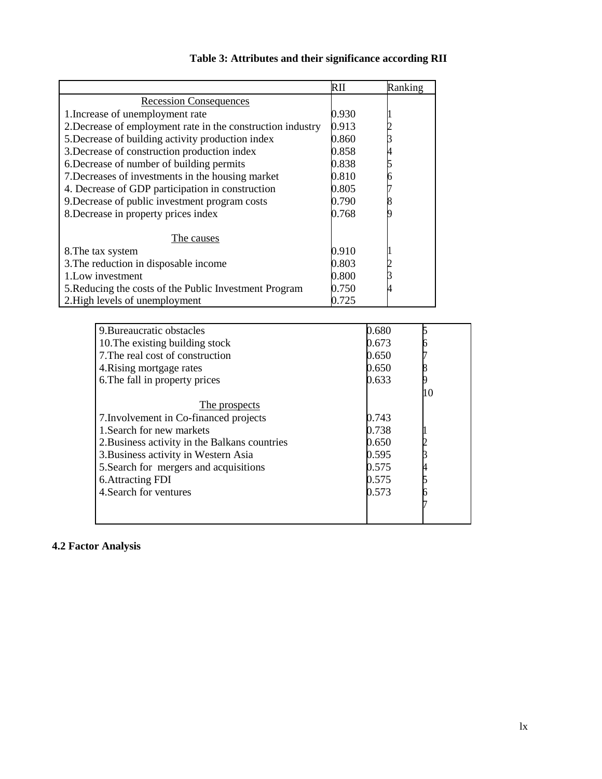| $\overline{R}$ II                                                    |       | Ranking |    |
|----------------------------------------------------------------------|-------|---------|----|
| <b>Recession Consequences</b>                                        |       |         |    |
| 1. Increase of unemployment rate<br>0.930                            |       |         |    |
| 2. Decrease of employment rate in the construction industry<br>0.913 |       |         |    |
| 5. Decrease of building activity production index<br>0.860           |       |         |    |
| 0.858<br>3. Decrease of construction production index                |       |         |    |
| 0.838<br>6. Decrease of number of building permits                   |       |         |    |
| 7. Decreases of investments in the housing market<br>0.810           |       |         |    |
| 4. Decrease of GDP participation in construction<br>0.805            |       |         |    |
| 9. Decrease of public investment program costs<br>0.790              |       |         |    |
| 8. Decrease in property prices index<br>0.768                        |       |         |    |
| The causes                                                           |       |         |    |
| 0.910<br>8. The tax system                                           |       |         |    |
| 0.803<br>3. The reduction in disposable income                       |       |         |    |
| 1. Low investment<br>0.800                                           |       |         |    |
| 0.750<br>5. Reducing the costs of the Public Investment Program      |       |         |    |
| 2. High levels of unemployment<br>0.725                              |       |         |    |
|                                                                      |       |         |    |
| 9. Bureaucratic obstacles                                            | 0.680 |         | 5  |
| 10. The existing building stock                                      | 0.673 |         |    |
| 7. The real cost of construction                                     | 0.650 |         |    |
| 4. Rising mortgage rates                                             | 0.650 |         |    |
| 6. The fall in property prices                                       | 0.633 |         |    |
|                                                                      |       |         | 10 |
| The prospects                                                        |       |         |    |
| 7. Involvement in Co-financed projects                               | 0.743 |         |    |
| 1. Search for new markets                                            | 0.738 |         |    |
| 2. Business activity in the Balkans countries                        | 0.650 |         |    |
| 3. Business activity in Western Asia                                 | 0.595 |         |    |
| 5. Search for mergers and acquisitions                               | 0.575 |         |    |
| <b>6.Attracting FDI</b>                                              | 0.575 |         |    |
| 4. Search for ventures                                               | 0.573 |         | 6  |
|                                                                      |       |         |    |
|                                                                      |       |         |    |

# **Table 3: Attributes and their significance according RII**

# **4.2 Factor Analysis**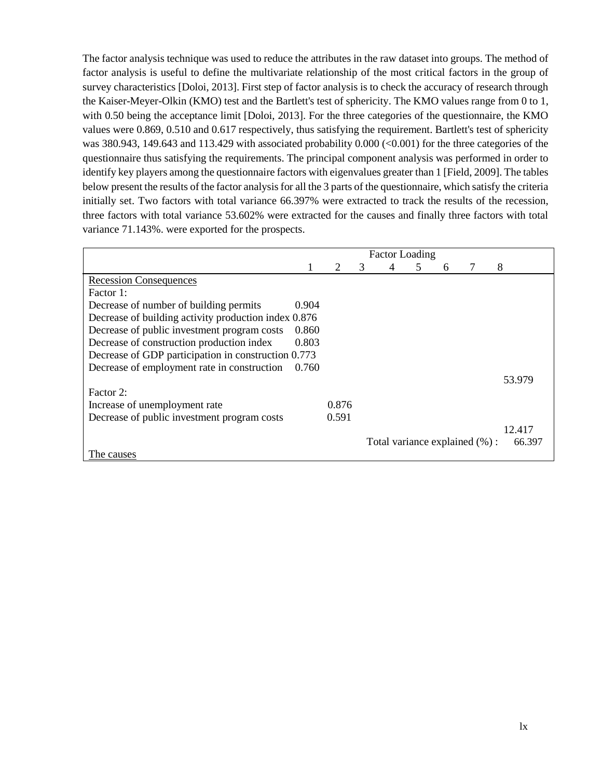The factor analysis technique was used to reduce the attributes in the raw dataset into groups. The method of factor analysis is useful to define the multivariate relationship of the most critical factors in the group of survey characteristics [Doloi, 2013]. First step of factor analysis is to check the accuracy of research through the Kaiser-Meyer-Olkin (KMO) test and the Bartlett's test of sphericity. The KMO values range from 0 to 1, with 0.50 being the acceptance limit [Doloi, 2013]. For the three categories of the questionnaire, the KMO values were 0.869, 0.510 and 0.617 respectively, thus satisfying the requirement. Bartlett's test of sphericity was 380.943, 149.643 and 113.429 with associated probability 0.000 (<0.001) for the three categories of the questionnaire thus satisfying the requirements. The principal component analysis was performed in order to identify key players among the questionnaire factors with eigenvalues greater than 1 [Field, 2009]. The tables below present the results of the factor analysis for all the 3 parts of the questionnaire, which satisfy the criteria initially set. Two factors with total variance 66.397% were extracted to track the results of the recession, three factors with total variance 53.602% were extracted for the causes and finally three factors with total variance 71.143%. were exported for the prospects.

|                                                      | <b>Factor Loading</b> |       |   |                               |   |   |  |        |
|------------------------------------------------------|-----------------------|-------|---|-------------------------------|---|---|--|--------|
|                                                      | 1                     | 2     | 3 |                               | 5 | 6 |  | 8      |
| <b>Recession Consequences</b>                        |                       |       |   |                               |   |   |  |        |
| Factor 1:                                            |                       |       |   |                               |   |   |  |        |
| Decrease of number of building permits               | 0.904                 |       |   |                               |   |   |  |        |
| Decrease of building activity production index 0.876 |                       |       |   |                               |   |   |  |        |
| Decrease of public investment program costs          | 0.860                 |       |   |                               |   |   |  |        |
| Decrease of construction production index            | 0.803                 |       |   |                               |   |   |  |        |
| Decrease of GDP participation in construction 0.773  |                       |       |   |                               |   |   |  |        |
| Decrease of employment rate in construction          | 0.760                 |       |   |                               |   |   |  |        |
|                                                      |                       |       |   |                               |   |   |  | 53.979 |
| Factor 2:                                            |                       |       |   |                               |   |   |  |        |
| Increase of unemployment rate                        |                       | 0.876 |   |                               |   |   |  |        |
| Decrease of public investment program costs          |                       | 0.591 |   |                               |   |   |  |        |
|                                                      |                       |       |   |                               |   |   |  | 12.417 |
|                                                      |                       |       |   | Total variance explained (%): |   |   |  | 66.397 |
| The causes                                           |                       |       |   |                               |   |   |  |        |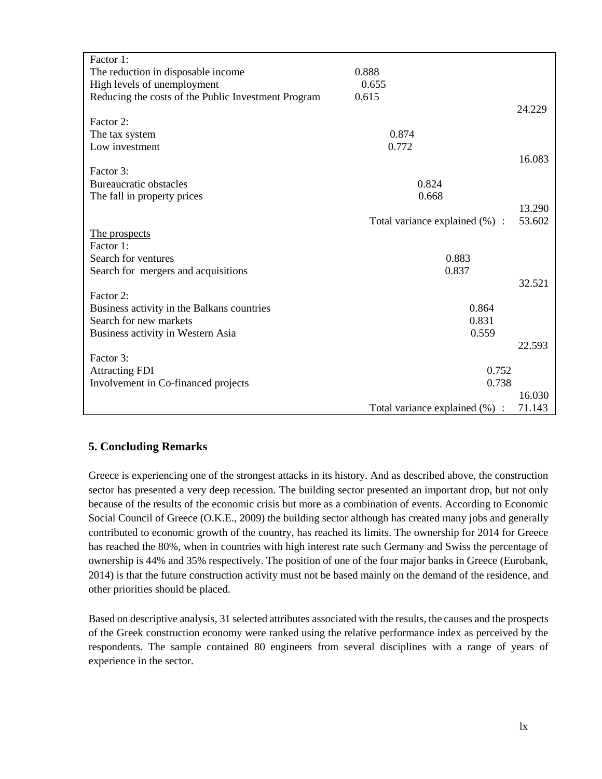| Factor 1:                                           |                                |        |
|-----------------------------------------------------|--------------------------------|--------|
| The reduction in disposable income                  | 0.888                          |        |
| High levels of unemployment                         | 0.655                          |        |
| Reducing the costs of the Public Investment Program | 0.615                          |        |
|                                                     |                                | 24.229 |
| Factor 2:                                           |                                |        |
| The tax system                                      | 0.874                          |        |
| Low investment                                      | 0.772                          |        |
|                                                     |                                | 16.083 |
| Factor 3:                                           |                                |        |
| <b>Bureaucratic obstacles</b>                       | 0.824                          |        |
| The fall in property prices                         | 0.668                          |        |
|                                                     |                                | 13.290 |
|                                                     | Total variance explained (%) : | 53.602 |
| The prospects                                       |                                |        |
| Factor 1:                                           |                                |        |
| Search for ventures                                 | 0.883                          |        |
| Search for mergers and acquisitions                 | 0.837                          |        |
|                                                     |                                | 32.521 |
| Factor 2:                                           |                                |        |
| Business activity in the Balkans countries          | 0.864                          |        |
| Search for new markets                              | 0.831                          |        |
| Business activity in Western Asia                   | 0.559                          |        |
|                                                     |                                | 22.593 |
| Factor 3:                                           |                                |        |
| <b>Attracting FDI</b>                               | 0.752                          |        |
| Involvement in Co-financed projects                 | 0.738                          |        |
|                                                     |                                | 16.030 |
|                                                     | Total variance explained (%) : | 71.143 |

# **5. Concluding Remarks**

Greece is experiencing one of the strongest attacks in its history. And as described above, the construction sector has presented a very deep recession. The building sector presented an important drop, but not only because of the results of the economic crisis but more as a combination of events. According to Economic Social Council of Greece (O.K.E., 2009) the building sector although has created many jobs and generally contributed to economic growth of the country, has reached its limits. The ownership for 2014 for Greece has reached the 80%, when in countries with high interest rate such Germany and Swiss the percentage of ownership is 44% and 35% respectively. The position of one of the four major banks in Greece (Eurobank, 2014) is that the future construction activity must not be based mainly on the demand of the residence, and other priorities should be placed.

Based on descriptive analysis, 31 selected attributes associated with the results, the causes and the prospects of the Greek construction economy were ranked using the relative performance index as perceived by the respondents. The sample contained 80 engineers from several disciplines with a range of years of experience in the sector.